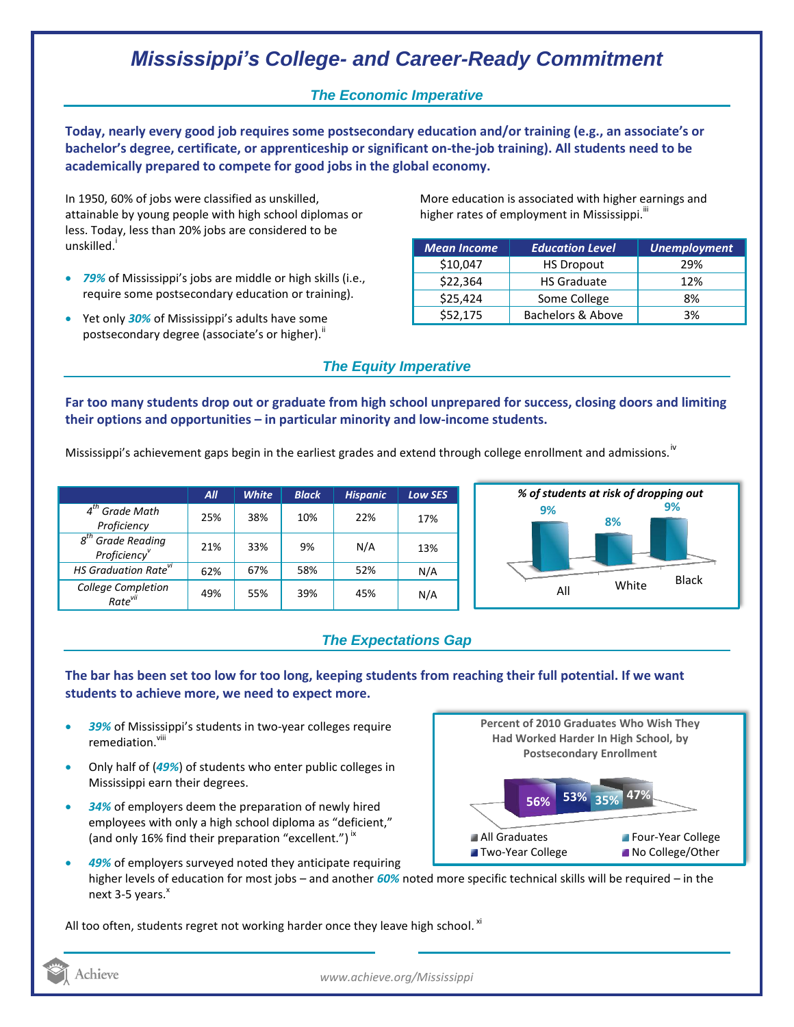# *Mississippi's College- and Career-Ready Commitment*

### *The Economic Imperative*

**Today, nearly every good job requires some postsecondary education and/or training (e.g., an associate's or bachelor's degree, certificate, or apprenticeship or significant on-the-job training). All students need to be academically prepared to compete for good jobs in the global economy.**

In 1950, 60% of jobs were classified as unskilled, attainable by young people with high school diplomas or less. Today, less than 20% jobs are considered to be unskilled.<sup>1</sup>

- *79%* of Mississippi's jobs are middle or high skills (i.e., require some postsecondary education or training).
- Yet only *30%* of Mississippi's adults have some postsecondary degree (associate's or higher)."

More education is associated with higher earnings and higher rates of employment in Mississippi. $^{\text{iii}}$ 

| <b>Mean Income</b> | <b>Education Level</b> | <b>Unemployment</b> |
|--------------------|------------------------|---------------------|
| \$10,047           | <b>HS Dropout</b>      | 29%                 |
| \$22,364           | <b>HS Graduate</b>     | 12%                 |
| \$25,424           | Some College           | 8%                  |
| \$52,175           | Bachelors & Above      | 3%                  |

### *The Equity Imperative*

**Far too many students drop out or graduate from high school unprepared for success, closing doors and limiting their options and opportunities – in particular minority and low-income students.** 

Mississippi's achievement gaps begin in the earliest grades and extend through college enrollment and admissions.<sup>iv</sup>

|                                              | All | <b>White</b> | <b>Black</b> | <b>Hispanic</b> | <b>Low SES</b> |
|----------------------------------------------|-----|--------------|--------------|-----------------|----------------|
| $4^{tn}$<br><b>Grade Math</b><br>Proficiency | 25% | 38%          | 10%          | 22%             | 17%            |
| $8th$ Grade Reading<br>Proficiency           | 21% | 33%          | 9%           | N/A             | 13%            |
| HS Graduation Rate <sup>vi</sup>             | 62% | 67%          | 58%          | 52%             | N/A            |
| College Completion<br>Rate <sup>vii</sup>    | 49% | 55%          | 39%          | 45%             | N/A            |



## *The Expectations Gap*

#### **The bar has been set too low for too long, keeping students from reaching their full potential. If we want students to achieve more, we need to expect more.**

- *39%* of Mississippi's students in two-year colleges require remediation.<sup>viii</sup>
- Only half of (*49%*) of students who enter public colleges in Mississippi earn their degrees.
- *34%* of employers deem the preparation of newly hired employees with only a high school diploma as "deficient," (and only 16% find their preparation "excellent.")<sup>ix</sup>



 *49%* of employers surveyed noted they anticipate requiring higher levels of education for most jobs – and another *60%* noted more specific technical skills will be required – in the next 3-5 years.<sup>x</sup>

All too often, students regret not working harder once they leave high school.  $^{\text{xi}}$ 

Achieve

*www.achieve.org/Mississippi*